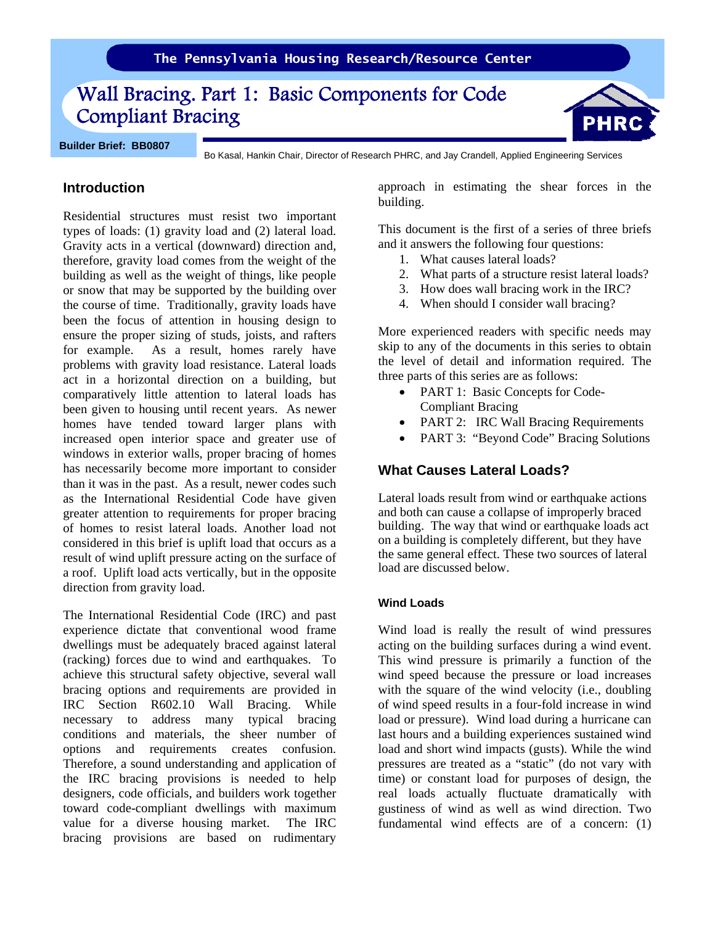# Wall Bracing. Part 1: Basic Components for Code Compliant Bracing

**Builder Brief: BB0807**

Bo Kasal, Hankin Chair, Director of Research PHRC, and Jay Crandell, Applied Engineering Services

# **Introduction**

Residential structures must resist two important types of loads: (1) gravity load and (2) lateral load. Gravity acts in a vertical (downward) direction and, therefore, gravity load comes from the weight of the building as well as the weight of things, like people or snow that may be supported by the building over the course of time. Traditionally, gravity loads have been the focus of attention in housing design to ensure the proper sizing of studs, joists, and rafters for example. As a result, homes rarely have problems with gravity load resistance. Lateral loads act in a horizontal direction on a building, but comparatively little attention to lateral loads has been given to housing until recent years. As newer homes have tended toward larger plans with increased open interior space and greater use of windows in exterior walls, proper bracing of homes has necessarily become more important to consider than it was in the past. As a result, newer codes such as the International Residential Code have given greater attention to requirements for proper bracing of homes to resist lateral loads. Another load not considered in this brief is uplift load that occurs as a result of wind uplift pressure acting on the surface of a roof. Uplift load acts vertically, but in the opposite direction from gravity load.

The International Residential Code (IRC) and past experience dictate that conventional wood frame dwellings must be adequately braced against lateral (racking) forces due to wind and earthquakes. To achieve this structural safety objective, several wall bracing options and requirements are provided in IRC Section R602.10 Wall Bracing. While necessary to address many typical bracing conditions and materials, the sheer number of options and requirements creates confusion. Therefore, a sound understanding and application of the IRC bracing provisions is needed to help designers, code officials, and builders work together toward code-compliant dwellings with maximum value for a diverse housing market. The IRC bracing provisions are based on rudimentary approach in estimating the shear forces in the building.

This document is the first of a series of three briefs and it answers the following four questions:

- 1. What causes lateral loads?
- 2. What parts of a structure resist lateral loads?
- 3. How does wall bracing work in the IRC?
- 4. When should I consider wall bracing?

More experienced readers with specific needs may skip to any of the documents in this series to obtain the level of detail and information required. The three parts of this series are as follows:

- PART 1: Basic Concepts for Code-Compliant Bracing
- PART 2: IRC Wall Bracing Requirements
- PART 3: "Beyond Code" Bracing Solutions

## **What Causes Lateral Loads?**

Lateral loads result from wind or earthquake actions and both can cause a collapse of improperly braced building. The way that wind or earthquake loads act on a building is completely different, but they have the same general effect. These two sources of lateral load are discussed below.

#### **Wind Loads**

Wind load is really the result of wind pressures acting on the building surfaces during a wind event. This wind pressure is primarily a function of the wind speed because the pressure or load increases with the square of the wind velocity (i.e., doubling of wind speed results in a four-fold increase in wind load or pressure). Wind load during a hurricane can last hours and a building experiences sustained wind load and short wind impacts (gusts). While the wind pressures are treated as a "static" (do not vary with time) or constant load for purposes of design, the real loads actually fluctuate dramatically with gustiness of wind as well as wind direction. Two fundamental wind effects are of a concern: (1)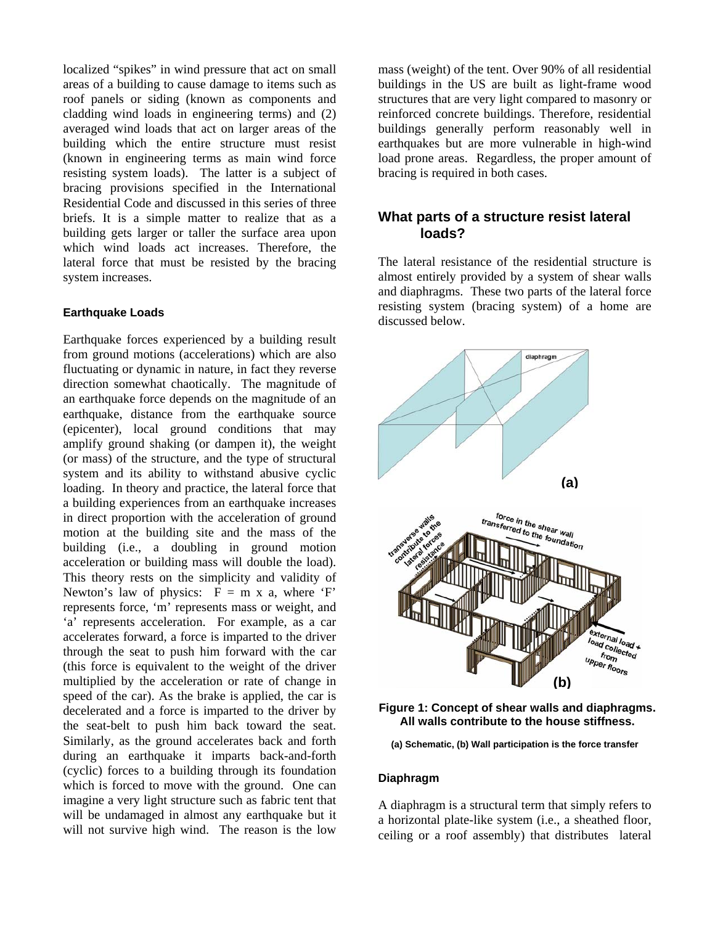localized "spikes" in wind pressure that act on small areas of a building to cause damage to items such as roof panels or siding (known as components and cladding wind loads in engineering terms) and (2) averaged wind loads that act on larger areas of the building which the entire structure must resist (known in engineering terms as main wind force resisting system loads). The latter is a subject of bracing provisions specified in the International Residential Code and discussed in this series of three briefs. It is a simple matter to realize that as a building gets larger or taller the surface area upon which wind loads act increases. Therefore, the lateral force that must be resisted by the bracing system increases.

#### **Earthquake Loads**

Earthquake forces experienced by a building result from ground motions (accelerations) which are also fluctuating or dynamic in nature, in fact they reverse direction somewhat chaotically. The magnitude of an earthquake force depends on the magnitude of an earthquake, distance from the earthquake source (epicenter), local ground conditions that may amplify ground shaking (or dampen it), the weight (or mass) of the structure, and the type of structural system and its ability to withstand abusive cyclic loading. In theory and practice, the lateral force that a building experiences from an earthquake increases in direct proportion with the acceleration of ground motion at the building site and the mass of the building (i.e., a doubling in ground motion acceleration or building mass will double the load). This theory rests on the simplicity and validity of Newton's law of physics:  $F = m \times a$ , where 'F' represents force, 'm' represents mass or weight, and 'a' represents acceleration. For example, as a car accelerates forward, a force is imparted to the driver through the seat to push him forward with the car (this force is equivalent to the weight of the driver multiplied by the acceleration or rate of change in speed of the car). As the brake is applied, the car is decelerated and a force is imparted to the driver by the seat-belt to push him back toward the seat. Similarly, as the ground accelerates back and forth during an earthquake it imparts back-and-forth (cyclic) forces to a building through its foundation which is forced to move with the ground. One can imagine a very light structure such as fabric tent that will be undamaged in almost any earthquake but it will not survive high wind. The reason is the low

mass (weight) of the tent. Over 90% of all residential buildings in the US are built as light-frame wood structures that are very light compared to masonry or reinforced concrete buildings. Therefore, residential buildings generally perform reasonably well in earthquakes but are more vulnerable in high-wind load prone areas. Regardless, the proper amount of bracing is required in both cases.

## **What parts of a structure resist lateral loads?**

The lateral resistance of the residential structure is almost entirely provided by a system of shear walls and diaphragms. These two parts of the lateral force resisting system (bracing system) of a home are discussed below.



**Figure 1: Concept of shear walls and diaphragms. All walls contribute to the house stiffness.** 

**(a) Schematic, (b) Wall participation is the force transfer** 

#### **Diaphragm**

A diaphragm is a structural term that simply refers to a horizontal plate-like system (i.e., a sheathed floor, ceiling or a roof assembly) that distributes lateral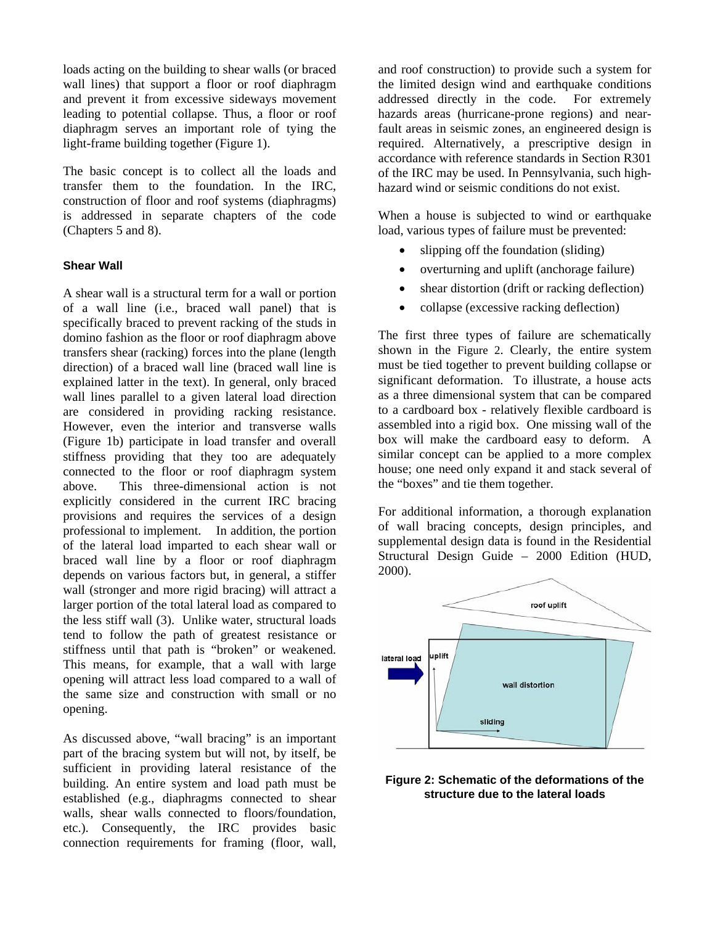loads acting on the building to shear walls (or braced wall lines) that support a floor or roof diaphragm and prevent it from excessive sideways movement leading to potential collapse. Thus, a floor or roof diaphragm serves an important role of tying the light-frame building together (Figure 1).

The basic concept is to collect all the loads and transfer them to the foundation. In the IRC, construction of floor and roof systems (diaphragms) is addressed in separate chapters of the code (Chapters 5 and 8).

#### **Shear Wall**

A shear wall is a structural term for a wall or portion of a wall line (i.e., braced wall panel) that is specifically braced to prevent racking of the studs in domino fashion as the floor or roof diaphragm above transfers shear (racking) forces into the plane (length direction) of a braced wall line (braced wall line is explained latter in the text). In general, only braced wall lines parallel to a given lateral load direction are considered in providing racking resistance. However, even the interior and transverse walls (Figure 1b) participate in load transfer and overall stiffness providing that they too are adequately connected to the floor or roof diaphragm system above. This three-dimensional action is not explicitly considered in the current IRC bracing provisions and requires the services of a design professional to implement. In addition, the portion of the lateral load imparted to each shear wall or braced wall line by a floor or roof diaphragm depends on various factors but, in general, a stiffer wall (stronger and more rigid bracing) will attract a larger portion of the total lateral load as compared to the less stiff wall (3). Unlike water, structural loads tend to follow the path of greatest resistance or stiffness until that path is "broken" or weakened. This means, for example, that a wall with large opening will attract less load compared to a wall of the same size and construction with small or no opening.

As discussed above, "wall bracing" is an important part of the bracing system but will not, by itself, be sufficient in providing lateral resistance of the building. An entire system and load path must be established (e.g., diaphragms connected to shear walls, shear walls connected to floors/foundation, etc.). Consequently, the IRC provides basic connection requirements for framing (floor, wall, and roof construction) to provide such a system for the limited design wind and earthquake conditions addressed directly in the code. For extremely hazards areas (hurricane-prone regions) and nearfault areas in seismic zones, an engineered design is required. Alternatively, a prescriptive design in accordance with reference standards in Section R301 of the IRC may be used. In Pennsylvania, such highhazard wind or seismic conditions do not exist.

When a house is subjected to wind or earthquake load, various types of failure must be prevented:

- slipping off the foundation (sliding)
- overturning and uplift (anchorage failure)
- shear distortion (drift or racking deflection)
- collapse (excessive racking deflection)

The first three types of failure are schematically shown in the Figure 2. Clearly, the entire system must be tied together to prevent building collapse or significant deformation. To illustrate, a house acts as a three dimensional system that can be compared to a cardboard box - relatively flexible cardboard is assembled into a rigid box. One missing wall of the box will make the cardboard easy to deform. A similar concept can be applied to a more complex house; one need only expand it and stack several of the "boxes" and tie them together.

For additional information, a thorough explanation of wall bracing concepts, design principles, and supplemental design data is found in the Residential Structural Design Guide – 2000 Edition (HUD, 2000).



#### **Figure 2: Schematic of the deformations of the structure due to the lateral loads**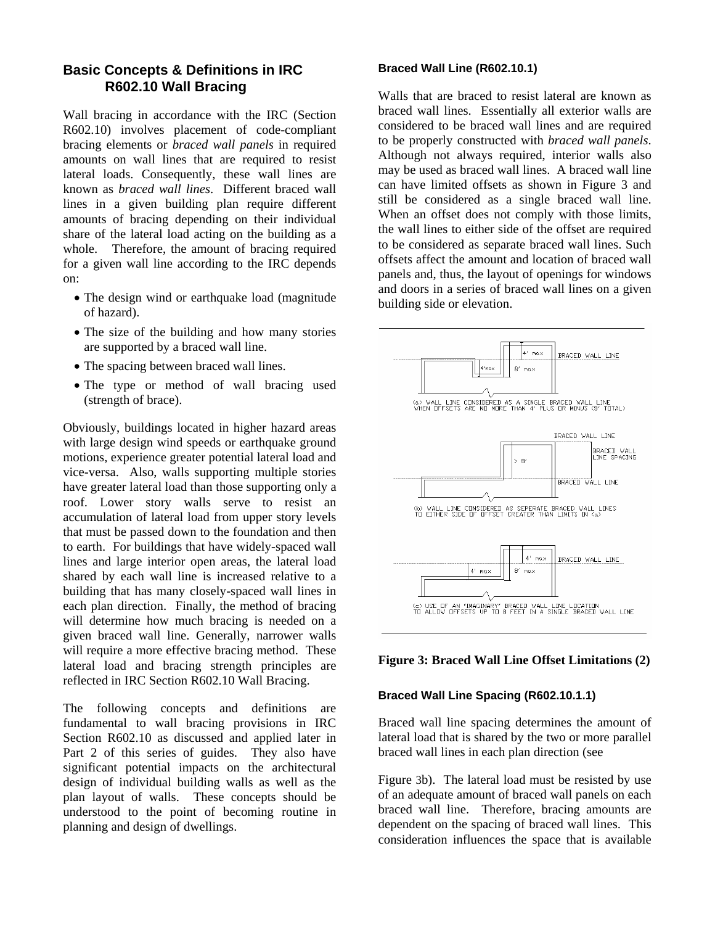# **Basic Concepts & Definitions in IRC R602.10 Wall Bracing**

Wall bracing in accordance with the IRC (Section R602.10) involves placement of code-compliant bracing elements or *braced wall panels* in required amounts on wall lines that are required to resist lateral loads. Consequently, these wall lines are known as *braced wall lines*. Different braced wall lines in a given building plan require different amounts of bracing depending on their individual share of the lateral load acting on the building as a whole. Therefore, the amount of bracing required for a given wall line according to the IRC depends on:

- The design wind or earthquake load (magnitude) of hazard).
- The size of the building and how many stories are supported by a braced wall line.
- The spacing between braced wall lines.
- The type or method of wall bracing used (strength of brace).

Obviously, buildings located in higher hazard areas with large design wind speeds or earthquake ground motions, experience greater potential lateral load and vice-versa. Also, walls supporting multiple stories have greater lateral load than those supporting only a roof. Lower story walls serve to resist an accumulation of lateral load from upper story levels that must be passed down to the foundation and then to earth. For buildings that have widely-spaced wall lines and large interior open areas, the lateral load shared by each wall line is increased relative to a building that has many closely-spaced wall lines in each plan direction. Finally, the method of bracing will determine how much bracing is needed on a given braced wall line. Generally, narrower walls will require a more effective bracing method. These lateral load and bracing strength principles are reflected in IRC Section R602.10 Wall Bracing.

The following concepts and definitions are fundamental to wall bracing provisions in IRC Section R602.10 as discussed and applied later in Part 2 of this series of guides. They also have significant potential impacts on the architectural design of individual building walls as well as the plan layout of walls. These concepts should be understood to the point of becoming routine in planning and design of dwellings.

#### **Braced Wall Line (R602.10.1)**

Walls that are braced to resist lateral are known as braced wall lines. Essentially all exterior walls are considered to be braced wall lines and are required to be properly constructed with *braced wall panels*. Although not always required, interior walls also may be used as braced wall lines. A braced wall line can have limited offsets as shown in Figure 3 and still be considered as a single braced wall line. When an offset does not comply with those limits, the wall lines to either side of the offset are required to be considered as separate braced wall lines. Such offsets affect the amount and location of braced wall panels and, thus, the layout of openings for windows and doors in a series of braced wall lines on a given building side or elevation.



#### **Figure 3: Braced Wall Line Offset Limitations (2)**

#### **Braced Wall Line Spacing (R602.10.1.1)**

Braced wall line spacing determines the amount of lateral load that is shared by the two or more parallel braced wall lines in each plan direction (see

Figure 3b). The lateral load must be resisted by use of an adequate amount of braced wall panels on each braced wall line. Therefore, bracing amounts are dependent on the spacing of braced wall lines. This consideration influences the space that is available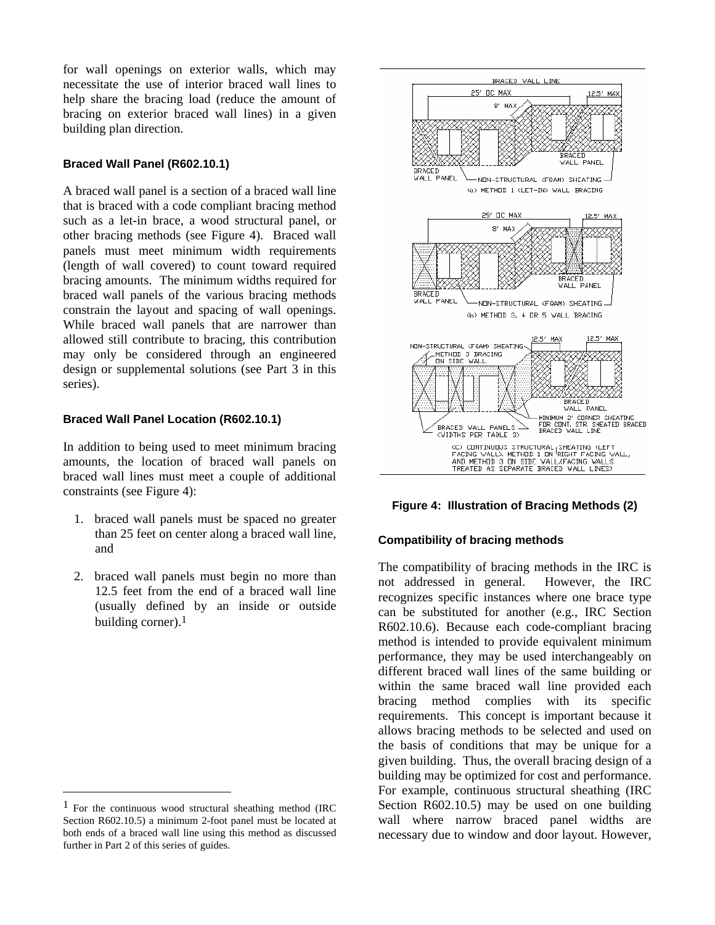for wall openings on exterior walls, which may necessitate the use of interior braced wall lines to help share the bracing load (reduce the amount of bracing on exterior braced wall lines) in a given building plan direction.

#### **Braced Wall Panel (R602.10.1)**

A braced wall panel is a section of a braced wall line that is braced with a code compliant bracing method such as a let-in brace, a wood structural panel, or other bracing methods (see Figure 4). Braced wall panels must meet minimum width requirements (length of wall covered) to count toward required bracing amounts. The minimum widths required for braced wall panels of the various bracing methods constrain the layout and spacing of wall openings. While braced wall panels that are narrower than allowed still contribute to bracing, this contribution may only be considered through an engineered design or supplemental solutions (see Part 3 in this series).

#### **Braced Wall Panel Location (R602.10.1)**

In addition to being used to meet minimum bracing amounts, the location of braced wall panels on braced wall lines must meet a couple of additional constraints (see Figure 4):

- 1. braced wall panels must be spaced no greater than 25 feet on center along a braced wall line, and
- 2. braced wall panels must begin no more than 12.5 feet from the end of a braced wall line (usually defined by an inside or outside building corner). $<sup>1</sup>$ </sup>

 $\overline{a}$ 





#### **Compatibility of bracing methods**

The compatibility of bracing methods in the IRC is not addressed in general. However, the IRC recognizes specific instances where one brace type can be substituted for another (e.g., IRC Section R602.10.6). Because each code-compliant bracing method is intended to provide equivalent minimum performance, they may be used interchangeably on different braced wall lines of the same building or within the same braced wall line provided each bracing method complies with its specific requirements. This concept is important because it allows bracing methods to be selected and used on the basis of conditions that may be unique for a given building. Thus, the overall bracing design of a building may be optimized for cost and performance. For example, continuous structural sheathing (IRC Section R602.10.5) may be used on one building wall where narrow braced panel widths are necessary due to window and door layout. However,

 $1$  For the continuous wood structural sheathing method (IRC Section R602.10.5) a minimum 2-foot panel must be located at both ends of a braced wall line using this method as discussed further in Part 2 of this series of guides.